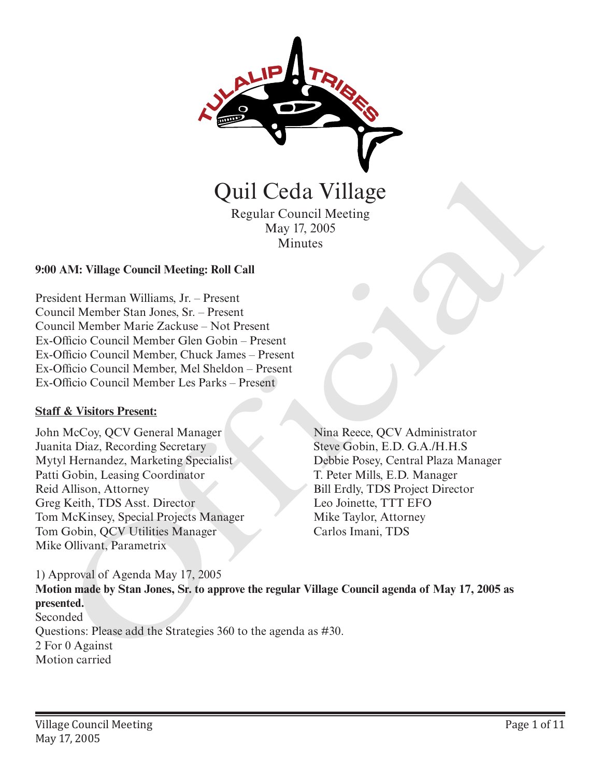

Minutes

#### **9:00 AM: Village Council Meeting: Roll Call**

President Herman Williams, Jr. – Present Council Member Stan Jones, Sr. – Present Council Member Marie Zackuse – Not Present Ex-Officio Council Member Glen Gobin – Present Ex-Officio Council Member, Chuck James – Present Ex-Officio Council Member, Mel Sheldon – Present Ex-Officio Council Member Les Parks – Present

#### **Staff & Visitors Present:**

John McCoy, QCV General Manager Juanita Diaz, Recording Secretary Mytyl Hernandez, Marketing Specialist Patti Gobin, Leasing Coordinator Reid Allison, Attorney Greg Keith, TDS Asst. Director Tom McKinsey, Special Projects Manager Tom Gobin, QCV Utilities Manager Mike Ollivant, Parametrix

Nina Reece, QCV Administrator Steve Gobin, E.D. G.A./H.H.S Debbie Posey, Central Plaza Manager T. Peter Mills, E.D. Manager Bill Erdly, TDS Project Director Leo Joinette, TTT EFO Mike Taylor, Attorney

1) Approval of Agenda May 17, 2005 **Motion made by Stan Jones, Sr. to approve the regular Village Council agenda of May 17, 2005 as presented.**  Seconded Questions: Please add the Strategies 360 to the agenda as #30. 2 For 0 Against Motion carried **Carlos IV (Fig. 1988)**<br>
Regular Council Meeting<br>
May 17, 2005<br>
Minutes<br>
May 17, 2005<br>
Minutes<br>
AM: Village Council Meethey, Roll Call<br>
dcnt Herman Williams, Jr. – Present<br>
meli Member Shan Jones, Sr. – Present<br>
meli Membe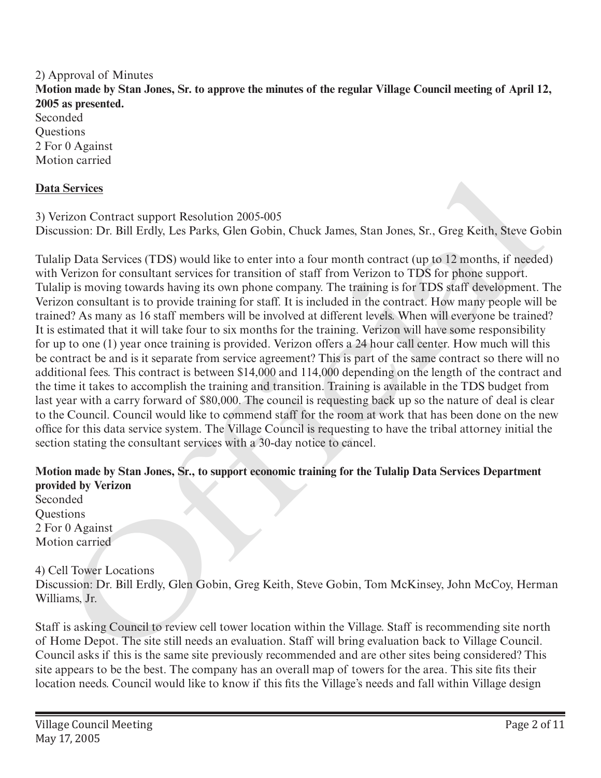#### 2) Approval of Minutes **Motion made by Stan Jones, Sr. to approve the minutes of the regular Village Council meeting of April 12, 2005 as presented.** Seconded Questions 2 For 0 Against

Motion carried

# **Data Services**

3) Verizon Contract support Resolution 2005-005 Discussion: Dr. Bill Erdly, Les Parks, Glen Gobin, Chuck James, Stan Jones, Sr., Greg Keith, Steve Gobin

Tulalip Data Services (TDS) would like to enter into a four month contract (up to 12 months, if needed) with Verizon for consultant services for transition of staff from Verizon to TDS for phone support. Tulalip is moving towards having its own phone company. The training is for TDS staff development. The Verizon consultant is to provide training for staff. It is included in the contract. How many people will be trained? As many as 16 staff members will be involved at different levels. When will everyone be trained? It is estimated that it will take four to six months for the training. Verizon will have some responsibility for up to one (1) year once training is provided. Verizon offers a 24 hour call center. How much will this be contract be and is it separate from service agreement? This is part of the same contract so there will no additional fees. This contract is between \$14,000 and 114,000 depending on the length of the contract and the time it takes to accomplish the training and transition. Training is available in the TDS budget from last year with a carry forward of \$80,000. The council is requesting back up so the nature of deal is clear to the Council. Council would like to commend staff for the room at work that has been done on the new office for this data service system. The Village Council is requesting to have the tribal attorney initial the section stating the consultant services with a 30-day notice to cancel. Services<br>
stricon Contract support Resolution 2005-005<br>
stricon Contract support Resolution 2005-005<br>
stricon: Dr. Bill Erdly, Les Parks, Giten Gobin, Chuck James, Stan Jones, Sr., Greg Keith, Steve Go<br>
hip Data Services (

## **Motion made by Stan Jones, Sr., to support economic training for the Tulalip Data Services Department provided by Verizon**

Seconded **Questions** 2 For 0 Against Motion carried

4) Cell Tower Locations

Discussion: Dr. Bill Erdly, Glen Gobin, Greg Keith, Steve Gobin, Tom McKinsey, John McCoy, Herman Williams, Jr.

Staff is asking Council to review cell tower location within the Village. Staff is recommending site north of Home Depot. The site still needs an evaluation. Staff will bring evaluation back to Village Council. Council asks if this is the same site previously recommended and are other sites being considered? This site appears to be the best. The company has an overall map of towers for the area. This site fits their location needs. Council would like to know if this fits the Village's needs and fall within Village design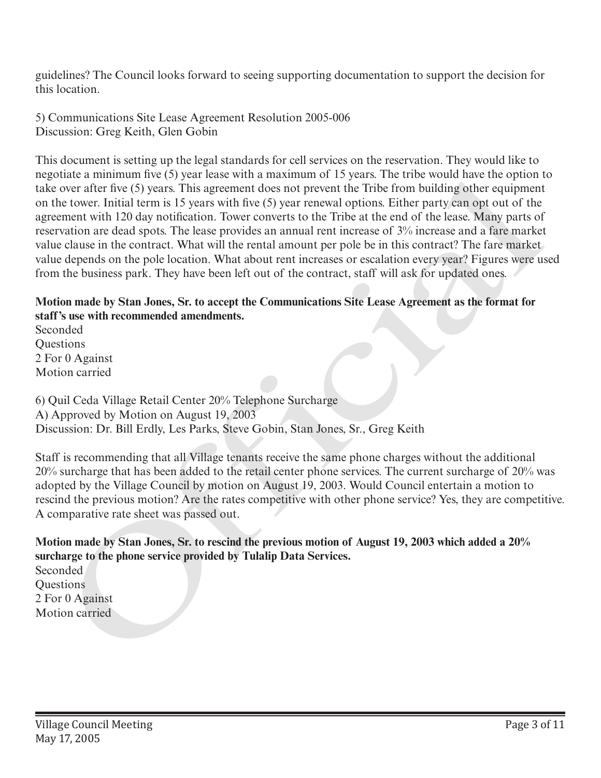guidelines? The Council looks forward to seeing supporting documentation to support the decision for this location.

5) Communications Site Lease Agreement Resolution 2005-006 Discussion: Greg Keith, Glen Gobin

This document is setting up the legal standards for cell services on the reservation. They would like to negotiate a minimum five (5) year lease with a maximum of 15 years. The tribe would have the option to take over after five (5) years. This agreement does not prevent the Tribe from building other equipment on the tower. Initial term is 15 years with five (5) year renewal options. Either party can opt out of the agreement with 120 day notification. Tower converts to the Tribe at the end of the lease. Many parts of reservation are dead spots. The lease provides an annual rent increase of 3% increase and a fare market value clause in the contract. What will the rental amount per pole be in this contract? The fare market value depends on the pole location. What about rent increases or escalation every year? Figures were used from the business park. They have been left out of the contract, staff will ask for updated ones. megnuate a mannum five typear least with a maximum of 1 2) years. In terms would nave the option<br>take over after live (5) years. This agreement does not prevent her Tribe from building other equipment<br>on the tower. Initial

## **Motion made by Stan Jones, Sr. to accept the Communications Site Lease Agreement as the format for staff's use with recommended amendments.**

Seconded Questions 2 For 0 Against Motion carried

6) Quil Ceda Village Retail Center 20% Telephone Surcharge A) Approved by Motion on August 19, 2003 Discussion: Dr. Bill Erdly, Les Parks, Steve Gobin, Stan Jones, Sr., Greg Keith

Staff is recommending that all Village tenants receive the same phone charges without the additional 20% surcharge that has been added to the retail center phone services. The current surcharge of 20% was adopted by the Village Council by motion on August 19, 2003. Would Council entertain a motion to rescind the previous motion? Are the rates competitive with other phone service? Yes, they are competitive. A comparative rate sheet was passed out.

**Motion made by Stan Jones, Sr. to rescind the previous motion of August 19, 2003 which added a 20% surcharge to the phone service provided by Tulalip Data Services.** 

Seconded **Ouestions** 2 For 0 Against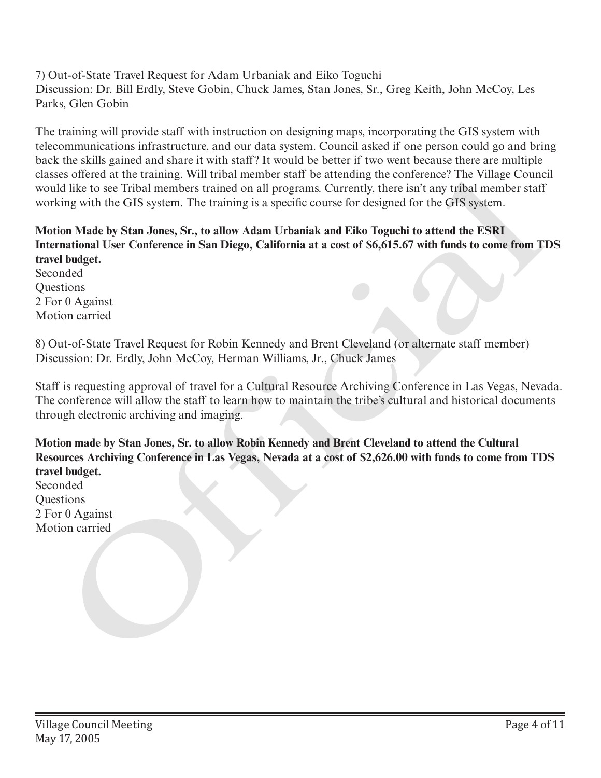7) Out-of-State Travel Request for Adam Urbaniak and Eiko Toguchi Discussion: Dr. Bill Erdly, Steve Gobin, Chuck James, Stan Jones, Sr., Greg Keith, John McCoy, Les Parks, Glen Gobin

The training will provide staff with instruction on designing maps, incorporating the GIS system with telecommunications infrastructure, and our data system. Council asked if one person could go and bring back the skills gained and share it with staff? It would be better if two went because there are multiple classes offered at the training. Will tribal member staff be attending the conference? The Village Council would like to see Tribal members trained on all programs. Currently, there isn't any tribal member staff working with the GIS system. The training is a specific course for designed for the GIS system.

# **Motion Made by Stan Jones, Sr., to allow Adam Urbaniak and Eiko Toguchi to attend the ESRI International User Conference in San Diego, California at a cost of \$6,615.67 with funds to come from TDS travel budget.**

Seconded **Ouestions** 2 For 0 Against Motion carried

8) Out-of-State Travel Request for Robin Kennedy and Brent Cleveland (or alternate staff member) Discussion: Dr. Erdly, John McCoy, Herman Williams, Jr., Chuck James

Staff is requesting approval of travel for a Cultural Resource Archiving Conference in Las Vegas, Nevada. The conference will allow the staff to learn how to maintain the tribe's cultural and historical documents through electronic archiving and imaging.

**Motion made by Stan Jones, Sr. to allow Robin Kennedy and Brent Cleveland to attend the Cultural Resources Archiving Conference in Las Vegas, Nevada at a cost of \$2,626.00 with funds to come from TDS travel budget.** enases orieren at the training. Wulfrinan intermine start be attending the conference in the vialge Containstance and the size of the start of the Gits system. The training is a specific course for designed for the Gits sy

Seconded **Ouestions** 2 For 0 Against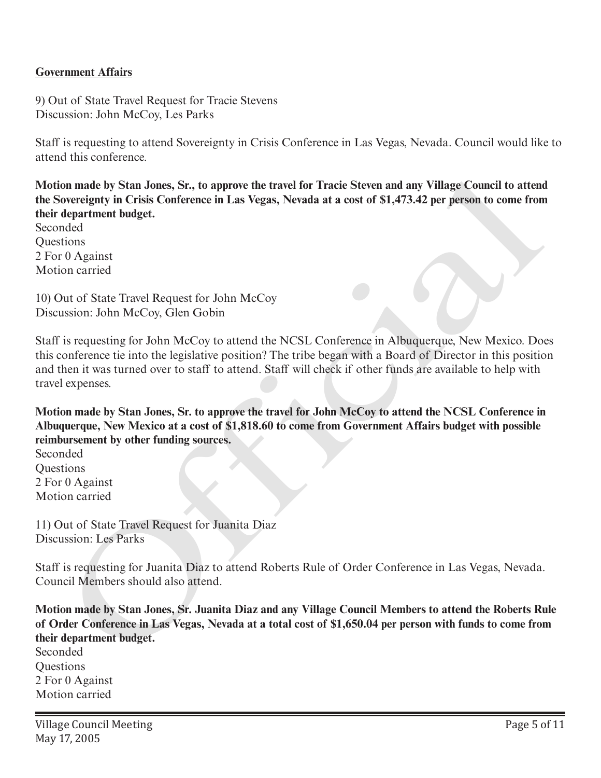#### **Government Affairs**

9) Out of State Travel Request for Tracie Stevens Discussion: John McCoy, Les Parks

Staff is requesting to attend Sovereignty in Crisis Conference in Las Vegas, Nevada. Council would like to attend this conference.

**Motion made by Stan Jones, Sr., to approve the travel for Tracie Steven and any Village Council to attend the Sovereignty in Crisis Conference in Las Vegas, Nevada at a cost of \$1,473.42 per person to come from their department budget.**

Seconded **Ouestions** 2 For 0 Against Motion carried

10) Out of State Travel Request for John McCoy Discussion: John McCoy, Glen Gobin

Staff is requesting for John McCoy to attend the NCSL Conference in Albuquerque, New Mexico. Does this conference tie into the legislative position? The tribe began with a Board of Director in this position and then it was turned over to staff to attend. Staff will check if other funds are available to help with travel expenses. ion mode by Stan Jones, Sr., to approve the travel for Tracie Steven and any Village Council to attent<br>overgignt in Crisis Conference in Las Vegas, Nevada at a cost of S1,473.42 per person to come from<br>department Indiget.<br>

**Motion made by Stan Jones, Sr. to approve the travel for John McCoy to attend the NCSL Conference in Albuquerque, New Mexico at a cost of \$1,818.60 to come from Government Affairs budget with possible reimbursement by other funding sources.**

Seconded **Ouestions** 2 For 0 Against Motion carried

11) Out of State Travel Request for Juanita Diaz Discussion: Les Parks

Staff is requesting for Juanita Diaz to attend Roberts Rule of Order Conference in Las Vegas, Nevada. Council Members should also attend.

**Motion made by Stan Jones, Sr. Juanita Diaz and any Village Council Members to attend the Roberts Rule of Order Conference in Las Vegas, Nevada at a total cost of \$1,650.04 per person with funds to come from their department budget.** 

Seconded Questions 2 For 0 Against Motion carried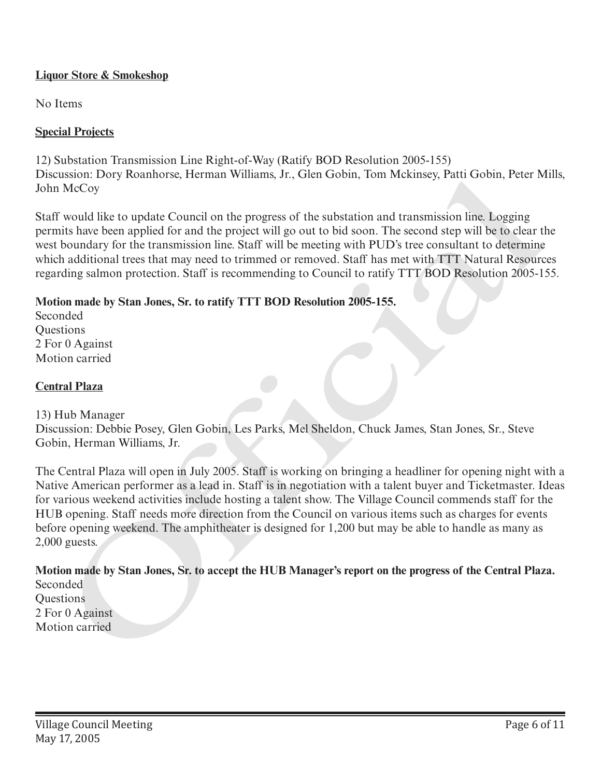## **Liquor Store & Smokeshop**

No Items

## **Special Projects**

12) Substation Transmission Line Right-of-Way (Ratify BOD Resolution 2005-155) Discussion: Dory Roanhorse, Herman Williams, Jr., Glen Gobin, Tom Mckinsey, Patti Gobin, Peter Mills, John McCoy

Staff would like to update Council on the progress of the substation and transmission line. Logging permits have been applied for and the project will go out to bid soon. The second step will be to clear the west boundary for the transmission line. Staff will be meeting with PUD's tree consultant to determine which additional trees that may need to trimmed or removed. Staff has met with TTT Natural Resources regarding salmon protection. Staff is recommending to Council to ratify TTT BOD Resolution 2005-155.

#### **Motion made by Stan Jones, Sr. to ratify TTT BOD Resolution 2005-155.**

Seconded **Questions** 2 For 0 Against Motion carried

#### **Central Plaza**

#### 13) Hub Manager

Discussion: Debbie Posey, Glen Gobin, Les Parks, Mel Sheldon, Chuck James, Stan Jones, Sr., Steve Gobin, Herman Williams, Jr.

The Central Plaza will open in July 2005. Staff is working on bringing a headliner for opening night with a Native American performer as a lead in. Staff is in negotiation with a talent buyer and Ticketmaster. Ideas for various weekend activities include hosting a talent show. The Village Council commends staff for the HUB opening. Staff needs more direction from the Council on various items such as charges for events before opening weekend. The amphitheater is designed for 1,200 but may be able to handle as many as 2,000 guests. Distatsion: Dory Itoanniorse, rieman williams, Jr., Gien Gobin, Lom Mckinsey, Patri Gobin, Peter Motion, Peter Motion and Franchiston and Franchiston line, Logging Staff would like to update Council on the progress of the

**Motion made by Stan Jones, Sr. to accept the HUB Manager's report on the progress of the Central Plaza.** Seconded **Questions** 

2 For 0 Against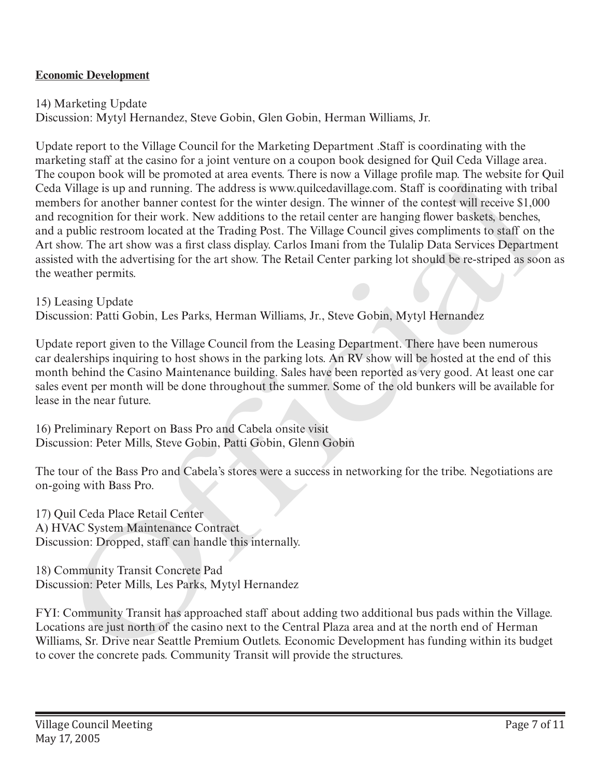## **Economic Development**

14) Marketing Update Discussion: Mytyl Hernandez, Steve Gobin, Glen Gobin, Herman Williams, Jr.

Update report to the Village Council for the Marketing Department .Staff is coordinating with the marketing staff at the casino for a joint venture on a coupon book designed for Quil Ceda Village area. The coupon book will be promoted at area events. There is now a Village profile map. The website for Quil Ceda Village is up and running. The address is www.quilcedavillage.com. Staff is coordinating with tribal members for another banner contest for the winter design. The winner of the contest will receive \$1,000 and recognition for their work. New additions to the retail center are hanging flower baskets, benches, and a public restroom located at the Trading Post. The Village Council gives compliments to staff on the Art show. The art show was a first class display. Carlos Imani from the Tulalip Data Services Department assisted with the advertising for the art show. The Retail Center parking lot should be re-striped as soon as the weather permits. The couple noot will be promotone at area events. There is now a vulge prome map, The wester to the contribution with the promotone at area events then the control and reconcrete particle and reconcrete particle and recons

15) Leasing Update

Discussion: Patti Gobin, Les Parks, Herman Williams, Jr., Steve Gobin, Mytyl Hernandez

Update report given to the Village Council from the Leasing Department. There have been numerous car dealerships inquiring to host shows in the parking lots. An RV show will be hosted at the end of this month behind the Casino Maintenance building. Sales have been reported as very good. At least one car sales event per month will be done throughout the summer. Some of the old bunkers will be available for lease in the near future.

16) Preliminary Report on Bass Pro and Cabela onsite visit Discussion: Peter Mills, Steve Gobin, Patti Gobin, Glenn Gobin

The tour of the Bass Pro and Cabela's stores were a success in networking for the tribe. Negotiations are on-going with Bass Pro.

17) Quil Ceda Place Retail Center A) HVAC System Maintenance Contract Discussion: Dropped, staff can handle this internally.

18) Community Transit Concrete Pad Discussion: Peter Mills, Les Parks, Mytyl Hernandez

FYI: Community Transit has approached staff about adding two additional bus pads within the Village. Locations are just north of the casino next to the Central Plaza area and at the north end of Herman Williams, Sr. Drive near Seattle Premium Outlets. Economic Development has funding within its budget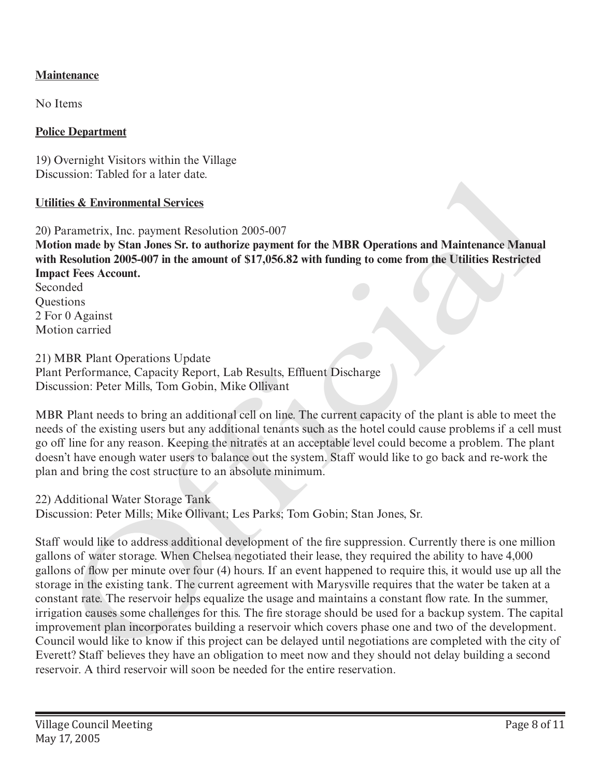# **Maintenance**

No Items

## **Police Department**

19) Overnight Visitors within the Village Discussion: Tabled for a later date.

# **Utilities & Environmental Services**

20) Parametrix, Inc. payment Resolution 2005-007 **Motion made by Stan Jones Sr. to authorize payment for the MBR Operations and Maintenance Manual with Resolution 2005-007 in the amount of \$17,056.82 with funding to come from the Utilities Restricted Impact Fees Account.** Seconded **Ouestions** 2 For 0 Against Motion carried

## 21) MBR Plant Operations Update

Plant Performance, Capacity Report, Lab Results, Effluent Discharge Discussion: Peter Mills, Tom Gobin, Mike Ollivant

MBR Plant needs to bring an additional cell on line. The current capacity of the plant is able to meet the needs of the existing users but any additional tenants such as the hotel could cause problems if a cell must go off line for any reason. Keeping the nitrates at an acceptable level could become a problem. The plant doesn't have enough water users to balance out the system. Staff would like to go back and re-work the plan and bring the cost structure to an absolute minimum.

## 22) Additional Water Storage Tank

Discussion: Peter Mills; Mike Ollivant; Les Parks; Tom Gobin; Stan Jones, Sr.

Staff would like to address additional development of the fire suppression. Currently there is one million gallons of water storage. When Chelsea negotiated their lease, they required the ability to have 4,000 gallons of flow per minute over four (4) hours. If an event happened to require this, it would use up all the storage in the existing tank. The current agreement with Marysville requires that the water be taken at a constant rate. The reservoir helps equalize the usage and maintains a constant flow rate. In the summer, irrigation causes some challenges for this. The fire storage should be used for a backup system. The capital improvement plan incorporates building a reservoir which covers phase one and two of the development. Council would like to know if this project can be delayed until negotiations are completed with the city of Everett? Staff believes they have an obligation to meet now and they should not delay building a second reservoir. A third reservoir will soon be needed for the entire reservation. ussion: Tabled for a later date.<br> **ides & Environmental Services**<br> **ides & Environmental Services**<br> **identification** 2005-007<br> **ion made by Stan Jones St. to authorize payment for the MBR Operations and Maintenance Manual<br>**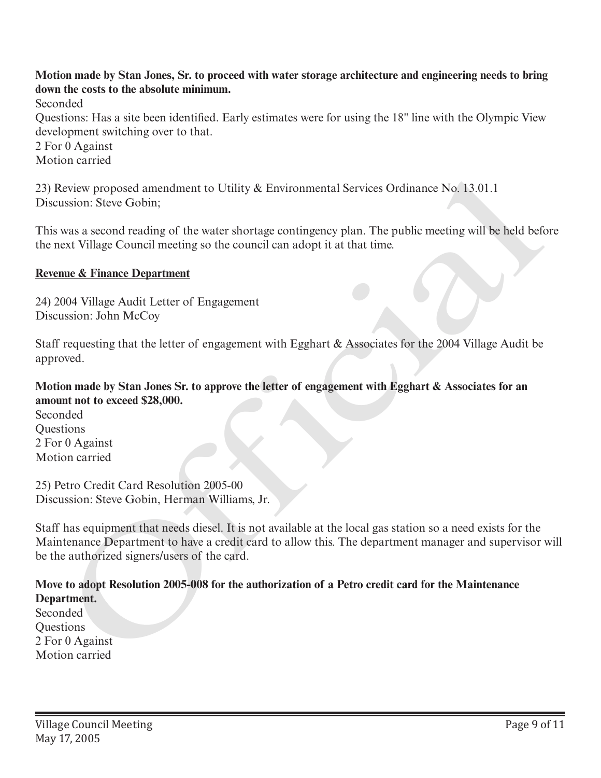# **Motion made by Stan Jones, Sr. to proceed with water storage architecture and engineering needs to bring down the costs to the absolute minimum.**

Seconded

Questions: Has a site been identified. Early estimates were for using the 18" line with the Olympic View development switching over to that.

2 For 0 Against

Motion carried

23) Review proposed amendment to Utility & Environmental Services Ordinance No. 13.01.1 Discussion: Steve Gobin;

This was a second reading of the water shortage contingency plan. The public meeting will be held before the next Village Council meeting so the council can adopt it at that time.

## **Revenue & Finance Department**

24) 2004 Village Audit Letter of Engagement Discussion: John McCoy

Staff requesting that the letter of engagement with Egghart & Associates for the 2004 Village Audit be approved.

# **Motion made by Stan Jones Sr. to approve the letter of engagement with Egghart & Associates for an amount not to exceed \$28,000.**

Seconded **Ouestions** 2 For 0 Against Motion carried

25) Petro Credit Card Resolution 2005-00 Discussion: Steve Gobin, Herman Williams, Jr.

Staff has equipment that needs diesel. It is not available at the local gas station so a need exists for the Maintenance Department to have a credit card to allow this. The department manager and supervisor will be the authorized signers/users of the card. 23) Review proposed amendment to Utility & Environmental Services Ordinance No. 13.01.1<br>Discussion: Steve Gobin;<br>This was a scooth reading of the water shortage contingency plan. The public meeting will be held before the

# **Move to adopt Resolution 2005-008 for the authorization of a Petro credit card for the Maintenance Department.**

Seconded **Ouestions** 2 For 0 Against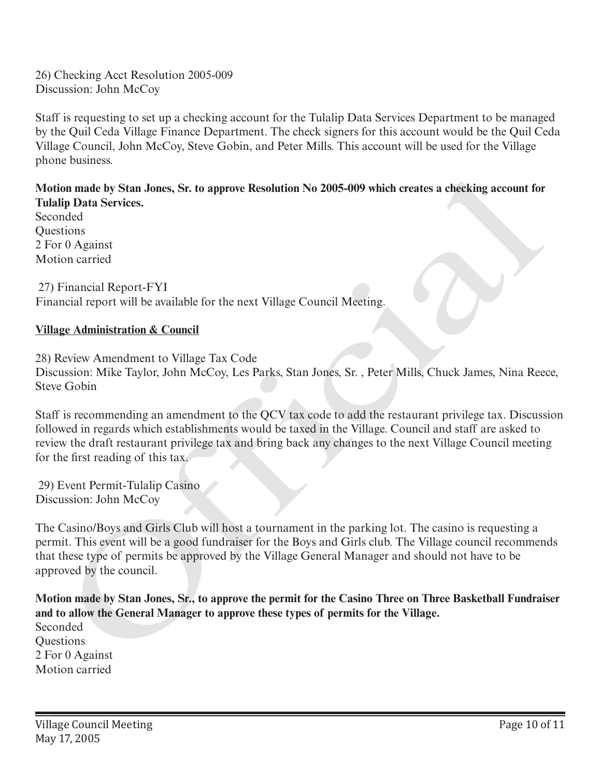26) Checking Acct Resolution 2005-009 Discussion: John McCoy

Staff is requesting to set up a checking account for the Tulalip Data Services Department to be managed by the Quil Ceda Village Finance Department. The check signers for this account would be the Quil Ceda Village Council, John McCoy, Steve Gobin, and Peter Mills. This account will be used for the Village phone business.

**Motion made by Stan Jones, Sr. to approve Resolution No 2005-009 which creates a checking account for Tulalip Data Services.**

Seconded Questions 2 For 0 Against Motion carried

 27) Financial Report-FYI Financial report will be available for the next Village Council Meeting.

## **Village Administration & Council**

28) Review Amendment to Village Tax Code

Discussion: Mike Taylor, John McCoy, Les Parks, Stan Jones, Sr. , Peter Mills, Chuck James, Nina Reece, Steve Gobin

Staff is recommending an amendment to the QCV tax code to add the restaurant privilege tax. Discussion followed in regards which establishments would be taxed in the Village. Council and staff are asked to review the draft restaurant privilege tax and bring back any changes to the next Village Council meeting for the first reading of this tax.

 29) Event Permit-Tulalip Casino Discussion: John McCoy

The Casino/Boys and Girls Club will host a tournament in the parking lot. The casino is requesting a permit. This event will be a good fundraiser for the Boys and Girls club. The Village council recommends that these type of permits be approved by the Village General Manager and should not have to be approved by the council.

**Motion made by Stan Jones, Sr., to approve the permit for the Casino Three on Three Basketball Fundraiser and to allow the General Manager to approve these types of permits for the Village.** Seconded **Ouestions** 2 For 0 Against Motion carried ion made by Stan Jones, Sr. to approve Resolution No 2005-009 which creates a checking account for<br>ip Dara Services.<br>
High Dara Services.<br>
Trinancial Report-FYI<br>
media report will be available for the next Village Council